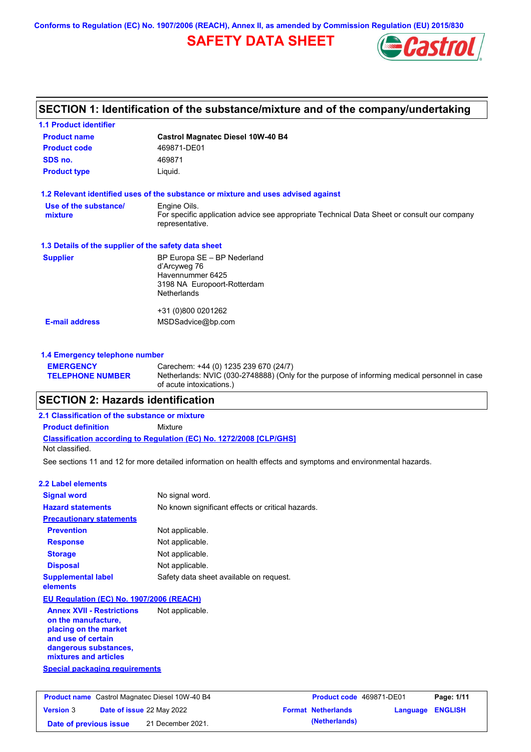**Conforms to Regulation (EC) No. 1907/2006 (REACH), Annex II, as amended by Commission Regulation (EU) 2015/830**

# **SAFETY DATA SHEET**



# **SECTION 1: Identification of the substance/mixture and of the company/undertaking**

| <b>1.1 Product identifier</b>                        |                                                                                                                |
|------------------------------------------------------|----------------------------------------------------------------------------------------------------------------|
| <b>Product name</b>                                  | <b>Castrol Magnatec Diesel 10W-40 B4</b>                                                                       |
| <b>Product code</b>                                  | 469871-DE01                                                                                                    |
| SDS no.                                              | 469871                                                                                                         |
| <b>Product type</b>                                  | Liquid.                                                                                                        |
|                                                      | 1.2 Relevant identified uses of the substance or mixture and uses advised against                              |
| Use of the substance/                                | Engine Oils.                                                                                                   |
| mixture                                              | For specific application advice see appropriate Technical Data Sheet or consult our company<br>representative. |
| 1.3 Details of the supplier of the safety data sheet |                                                                                                                |
| <b>Supplier</b>                                      | BP Europa SE - BP Nederland                                                                                    |
|                                                      | d'Arcyweg 76                                                                                                   |
|                                                      | Havennummer 6425<br>3198 NA Europoort-Rotterdam                                                                |
|                                                      | <b>Netherlands</b>                                                                                             |
|                                                      | +31 (0)800 0201262                                                                                             |
| <b>E-mail address</b>                                | MSDSadvice@bp.com                                                                                              |
|                                                      |                                                                                                                |
| 1.4 Emergency telephone number                       |                                                                                                                |

#### **EMERGENCY TELEPHONE NUMBER** Carechem: +44 (0) 1235 239 670 (24/7) Netherlands: NVIC (030-2748888) (Only for the purpose of informing medical personnel in case of acute intoxications.)

# **SECTION 2: Hazards identification**

### **Classification according to Regulation (EC) No. 1272/2008 [CLP/GHS] 2.1 Classification of the substance or mixture Product definition** Mixture Not classified.

See sections 11 and 12 for more detailed information on health effects and symptoms and environmental hazards.

| 2.2 Label elements                                                                                                                                       |                                                   |
|----------------------------------------------------------------------------------------------------------------------------------------------------------|---------------------------------------------------|
| <b>Signal word</b>                                                                                                                                       | No signal word.                                   |
| <b>Hazard statements</b>                                                                                                                                 | No known significant effects or critical hazards. |
| <b>Precautionary statements</b>                                                                                                                          |                                                   |
| <b>Prevention</b>                                                                                                                                        | Not applicable.                                   |
| <b>Response</b>                                                                                                                                          | Not applicable.                                   |
| <b>Storage</b>                                                                                                                                           | Not applicable.                                   |
| <b>Disposal</b>                                                                                                                                          | Not applicable.                                   |
| <b>Supplemental label</b><br>elements                                                                                                                    | Safety data sheet available on request.           |
| EU Regulation (EC) No. 1907/2006 (REACH)                                                                                                                 |                                                   |
| <b>Annex XVII - Restrictions</b><br>on the manufacture,<br>placing on the market<br>and use of certain<br>dangerous substances,<br>mixtures and articles | Not applicable.                                   |

**Special packaging requirements**

| <b>Product name</b> Castrol Magnatec Diesel 10W-40 B4 |  | Product code 469871-DE01         |                           | Page: 1/11       |  |
|-------------------------------------------------------|--|----------------------------------|---------------------------|------------------|--|
| <b>Version 3</b>                                      |  | <b>Date of issue 22 May 2022</b> | <b>Format Netherlands</b> | Language ENGLISH |  |
| Date of previous issue                                |  | 21 December 2021.                | (Netherlands)             |                  |  |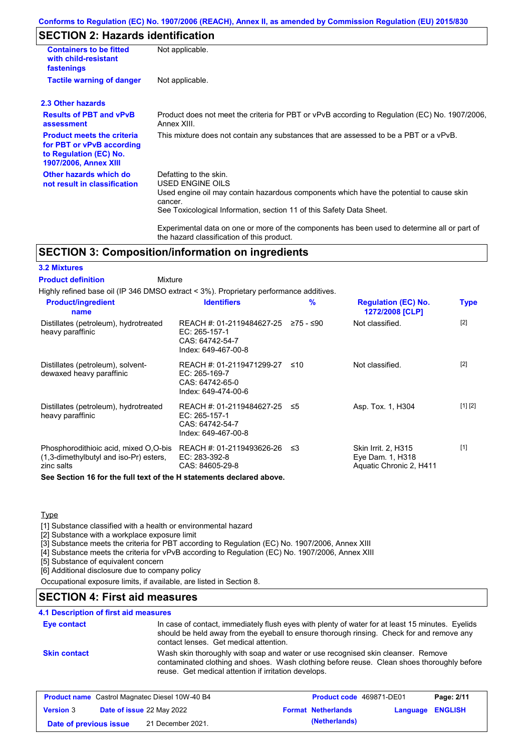### **Conforms to Regulation (EC) No. 1907/2006 (REACH), Annex II, as amended by Commission Regulation (EU) 2015/830**

# **SECTION 2: Hazards identification**

| <b>Containers to be fitted</b><br>with child-resistant<br>fastenings                                                     | Not applicable.                                                                                                                                                                                                                 |
|--------------------------------------------------------------------------------------------------------------------------|---------------------------------------------------------------------------------------------------------------------------------------------------------------------------------------------------------------------------------|
| <b>Tactile warning of danger</b>                                                                                         | Not applicable.                                                                                                                                                                                                                 |
| 2.3 Other hazards                                                                                                        |                                                                                                                                                                                                                                 |
| <b>Results of PBT and vPvB</b><br>assessment                                                                             | Product does not meet the criteria for PBT or vPvB according to Regulation (EC) No. 1907/2006,<br>Annex XIII.                                                                                                                   |
| <b>Product meets the criteria</b><br>for PBT or vPvB according<br>to Regulation (EC) No.<br><b>1907/2006, Annex XIII</b> | This mixture does not contain any substances that are assessed to be a PBT or a vPvB.                                                                                                                                           |
| Other hazards which do<br>not result in classification                                                                   | Defatting to the skin.<br><b>USED ENGINE OILS</b><br>Used engine oil may contain hazardous components which have the potential to cause skin<br>cancer.<br>See Toxicological Information, section 11 of this Safety Data Sheet. |
|                                                                                                                          | Experimental data on one or more of the components has been used to determine all or part of<br>the hazard classification of this product.                                                                                      |

### **SECTION 3: Composition/information on ingredients**

#### **3.2 Mixtures**

Mixture **Product definition**

Highly refined base oil (IP 346 DMSO extract < 3%). Proprietary performance additives.

| <b>Product/ingredient</b><br>name                                                             | <b>Identifiers</b>                                                                      | $\%$      | <b>Regulation (EC) No.</b><br>1272/2008 [CLP]                             | <b>Type</b> |
|-----------------------------------------------------------------------------------------------|-----------------------------------------------------------------------------------------|-----------|---------------------------------------------------------------------------|-------------|
| Distillates (petroleum), hydrotreated<br>heavy paraffinic                                     | REACH #: 01-2119484627-25<br>EC: 265-157-1<br>CAS: 64742-54-7<br>Index: 649-467-00-8    | ≥75 - ≤90 | Not classified.                                                           | $[2]$       |
| Distillates (petroleum), solvent-<br>dewaxed heavy paraffinic                                 | REACH #: 01-2119471299-27<br>EC: 265-169-7<br>CAS: 64742-65-0<br>Index: 649-474-00-6    | ≤10       | Not classified.                                                           | $[2]$       |
| Distillates (petroleum), hydrotreated<br>heavy paraffinic                                     | REACH #: 01-2119484627-25 ≤5<br>EC: 265-157-1<br>CAS: 64742-54-7<br>Index: 649-467-00-8 |           | Asp. Tox. 1, H304                                                         | [1] [2]     |
| Phosphorodithioic acid, mixed O.O-bis<br>(1,3-dimethylbutyl and iso-Pr) esters,<br>zinc salts | REACH #: 01-2119493626-26<br>EC: 283-392-8<br>CAS: 84605-29-8                           | ו≥ ≤      | <b>Skin Irrit. 2, H315</b><br>Eye Dam. 1, H318<br>Aquatic Chronic 2, H411 | $[1]$       |
| <b>Can Continue 46 for the full tout of the Unterpreted dealered above</b>                    |                                                                                         |           |                                                                           |             |

**See Section 16 for the full text of the H statements declared above.**

#### **Type**

[1] Substance classified with a health or environmental hazard

[2] Substance with a workplace exposure limit

[3] Substance meets the criteria for PBT according to Regulation (EC) No. 1907/2006, Annex XIII

[4] Substance meets the criteria for vPvB according to Regulation (EC) No. 1907/2006, Annex XIII

[5] Substance of equivalent concern

[6] Additional disclosure due to company policy

Occupational exposure limits, if available, are listed in Section 8.

# **SECTION 4: First aid measures**

### **4.1 Description of first aid measures**

| <b>Eye contact</b>  | In case of contact, immediately flush eyes with plenty of water for at least 15 minutes. Eyelids<br>should be held away from the eyeball to ensure thorough rinsing. Check for and remove any<br>contact lenses. Get medical attention. |
|---------------------|-----------------------------------------------------------------------------------------------------------------------------------------------------------------------------------------------------------------------------------------|
| <b>Skin contact</b> | Wash skin thoroughly with soap and water or use recognised skin cleanser. Remove<br>contaminated clothing and shoes. Wash clothing before reuse. Clean shoes thoroughly before<br>reuse. Get medical attention if irritation develops.  |

|                        |                                  | <b>Product name</b> Castrol Magnatec Diesel 10W-40 B4 | <b>Product code</b> 469871-DE01 |                         | Page: 2/11 |
|------------------------|----------------------------------|-------------------------------------------------------|---------------------------------|-------------------------|------------|
| <b>Version 3</b>       | <b>Date of issue 22 May 2022</b> |                                                       | <b>Format Netherlands</b>       | <b>Language ENGLISH</b> |            |
| Date of previous issue |                                  | 21 December 2021.                                     | (Netherlands)                   |                         |            |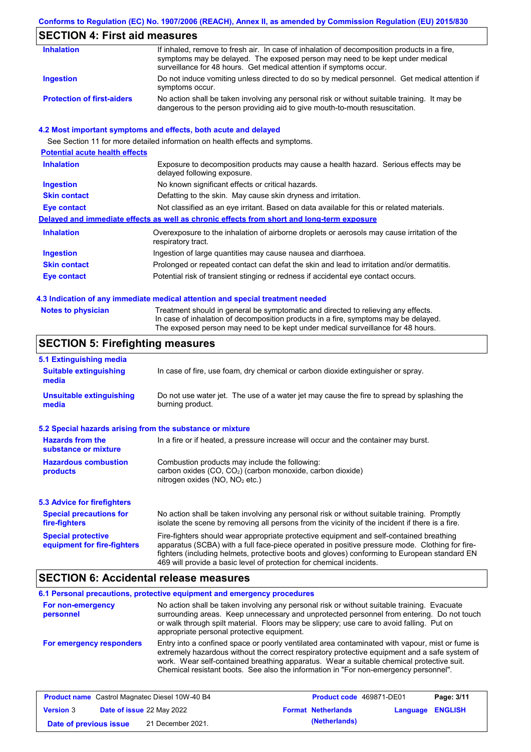### **Conforms to Regulation (EC) No. 1907/2006 (REACH), Annex II, as amended by Commission Regulation (EU) 2015/830**

# **SECTION 4: First aid measures**

| <b>Inhalation</b>                 | If inhaled, remove to fresh air. In case of inhalation of decomposition products in a fire,<br>symptoms may be delayed. The exposed person may need to be kept under medical<br>surveillance for 48 hours. Get medical attention if symptoms occur. |
|-----------------------------------|-----------------------------------------------------------------------------------------------------------------------------------------------------------------------------------------------------------------------------------------------------|
| Ingestion                         | Do not induce vomiting unless directed to do so by medical personnel. Get medical attention if<br>symptoms occur.                                                                                                                                   |
| <b>Protection of first-aiders</b> | No action shall be taken involving any personal risk or without suitable training. It may be<br>dangerous to the person providing aid to give mouth-to-mouth resuscitation.                                                                         |

#### **4.2 Most important symptoms and effects, both acute and delayed**

See Section 11 for more detailed information on health effects and symptoms. **Potential acute health effects Inhalation** Exposure to decomposition products may cause a health hazard. Serious effects may be delayed following exposure. **Ingestion** No known significant effects or critical hazards. **Skin contact** Defatting to the skin. May cause skin dryness and irritation. **Eye contact** Not classified as an eye irritant. Based on data available for this or related materials. **Delayed and immediate effects as well as chronic effects from short and long-term exposure Inhalation Ingestion Skin contact Eye contact** Overexposure to the inhalation of airborne droplets or aerosols may cause irritation of the respiratory tract. Ingestion of large quantities may cause nausea and diarrhoea. Prolonged or repeated contact can defat the skin and lead to irritation and/or dermatitis. Potential risk of transient stinging or redness if accidental eye contact occurs.

#### **4.3 Indication of any immediate medical attention and special treatment needed**

|  | <b>Notes to physician</b> |  |  |  |
|--|---------------------------|--|--|--|
|--|---------------------------|--|--|--|

Treatment should in general be symptomatic and directed to relieving any effects. In case of inhalation of decomposition products in a fire, symptoms may be delayed. The exposed person may need to be kept under medical surveillance for 48 hours.

### **SECTION 5: Firefighting measures**

| 5.1 Extinguishing media                                                                                                                                                                                                                                                                                                                                                                                                       |                                                                                                                                                                                                |
|-------------------------------------------------------------------------------------------------------------------------------------------------------------------------------------------------------------------------------------------------------------------------------------------------------------------------------------------------------------------------------------------------------------------------------|------------------------------------------------------------------------------------------------------------------------------------------------------------------------------------------------|
| <b>Suitable extinguishing</b><br>media                                                                                                                                                                                                                                                                                                                                                                                        | In case of fire, use foam, dry chemical or carbon dioxide extinguisher or spray.                                                                                                               |
| <b>Unsuitable extinguishing</b><br>media                                                                                                                                                                                                                                                                                                                                                                                      | Do not use water jet. The use of a water jet may cause the fire to spread by splashing the<br>burning product.                                                                                 |
| 5.2 Special hazards arising from the substance or mixture                                                                                                                                                                                                                                                                                                                                                                     |                                                                                                                                                                                                |
| <b>Hazards from the</b><br>substance or mixture                                                                                                                                                                                                                                                                                                                                                                               | In a fire or if heated, a pressure increase will occur and the container may burst.                                                                                                            |
| <b>Hazardous combustion</b><br>products                                                                                                                                                                                                                                                                                                                                                                                       | Combustion products may include the following:<br>carbon oxides (CO, CO <sub>2</sub> ) (carbon monoxide, carbon dioxide)<br>nitrogen oxides ( $NO$ , $NO2$ etc.)                               |
| <b>5.3 Advice for firefighters</b>                                                                                                                                                                                                                                                                                                                                                                                            |                                                                                                                                                                                                |
| <b>Special precautions for</b><br>fire-fighters                                                                                                                                                                                                                                                                                                                                                                               | No action shall be taken involving any personal risk or without suitable training. Promptly<br>isolate the scene by removing all persons from the vicinity of the incident if there is a fire. |
| <b>Special protective</b><br>Fire-fighters should wear appropriate protective equipment and self-contained breathing<br>apparatus (SCBA) with a full face-piece operated in positive pressure mode. Clothing for fire-<br>equipment for fire-fighters<br>fighters (including helmets, protective boots and gloves) conforming to European standard EN<br>469 will provide a basic level of protection for chemical incidents. |                                                                                                                                                                                                |

### **SECTION 6: Accidental release measures**

#### **6.1 Personal precautions, protective equipment and emergency procedures For non-emergency personnel For emergency responders** No action shall be taken involving any personal risk or without suitable training. Evacuate surrounding areas. Keep unnecessary and unprotected personnel from entering. Do not touch or walk through spilt material. Floors may be slippery; use care to avoid falling. Put on appropriate personal protective equipment. Entry into a confined space or poorly ventilated area contaminated with vapour, mist or fume is extremely hazardous without the correct respiratory protective equipment and a safe system of work. Wear self-contained breathing apparatus. Wear a suitable chemical protective suit. Chemical resistant boots. See also the information in "For non-emergency personnel".

| <b>Product name</b> Castrol Magnatec Diesel 10W-40 B4 |  | <b>Product code</b> 469871-DE01  |                           | Page: 3/11              |  |
|-------------------------------------------------------|--|----------------------------------|---------------------------|-------------------------|--|
| <b>Version 3</b>                                      |  | <b>Date of issue 22 May 2022</b> | <b>Format Netherlands</b> | <b>Language ENGLISH</b> |  |
| Date of previous issue                                |  | 21 December 2021.                | (Netherlands)             |                         |  |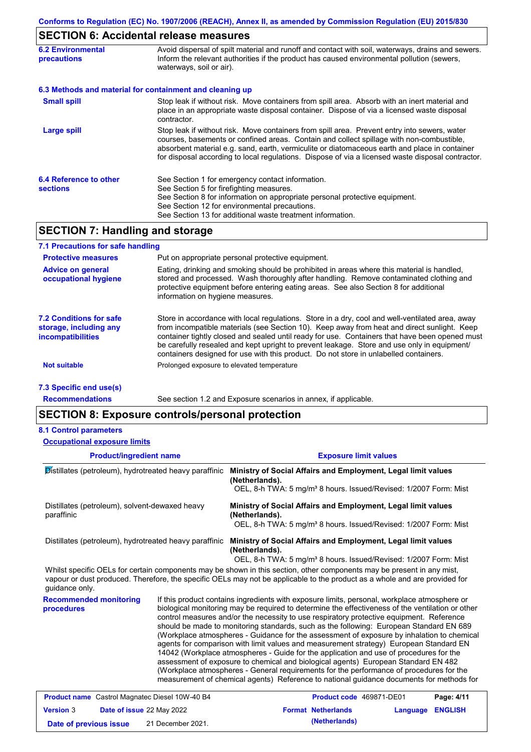# **SECTION 6: Accidental release measures**

| <b>6.2 Environmental</b><br><b>precautions</b>           | Avoid dispersal of spilt material and runoff and contact with soil, waterways, drains and sewers.<br>Inform the relevant authorities if the product has caused environmental pollution (sewers,<br>waterways, soil or air).                                                                                                                                                                    |
|----------------------------------------------------------|------------------------------------------------------------------------------------------------------------------------------------------------------------------------------------------------------------------------------------------------------------------------------------------------------------------------------------------------------------------------------------------------|
| 6.3 Methods and material for containment and cleaning up |                                                                                                                                                                                                                                                                                                                                                                                                |
| <b>Small spill</b>                                       | Stop leak if without risk. Move containers from spill area. Absorb with an inert material and<br>place in an appropriate waste disposal container. Dispose of via a licensed waste disposal<br>contractor.                                                                                                                                                                                     |
| <b>Large spill</b>                                       | Stop leak if without risk. Move containers from spill area. Prevent entry into sewers, water<br>courses, basements or confined areas. Contain and collect spillage with non-combustible,<br>absorbent material e.g. sand, earth, vermiculite or diatomaceous earth and place in container<br>for disposal according to local regulations. Dispose of via a licensed waste disposal contractor. |
| 6.4 Reference to other<br><b>sections</b>                | See Section 1 for emergency contact information.<br>See Section 5 for firefighting measures.<br>See Section 8 for information on appropriate personal protective equipment.<br>See Section 12 for environmental precautions.<br>See Section 13 for additional waste treatment information.                                                                                                     |

# **SECTION 7: Handling and storage**

| 7.1 Precautions for safe handling                                             |                                                                                                                                                                                                                                                                                                                                                                                                                                                                                          |
|-------------------------------------------------------------------------------|------------------------------------------------------------------------------------------------------------------------------------------------------------------------------------------------------------------------------------------------------------------------------------------------------------------------------------------------------------------------------------------------------------------------------------------------------------------------------------------|
| <b>Protective measures</b>                                                    | Put on appropriate personal protective equipment.                                                                                                                                                                                                                                                                                                                                                                                                                                        |
| <b>Advice on general</b><br>occupational hygiene                              | Eating, drinking and smoking should be prohibited in areas where this material is handled,<br>stored and processed. Wash thoroughly after handling. Remove contaminated clothing and<br>protective equipment before entering eating areas. See also Section 8 for additional<br>information on hygiene measures.                                                                                                                                                                         |
| 7.2 Conditions for safe<br>storage, including any<br><i>incompatibilities</i> | Store in accordance with local requlations. Store in a dry, cool and well-ventilated area, away<br>from incompatible materials (see Section 10). Keep away from heat and direct sunlight. Keep<br>container tightly closed and sealed until ready for use. Containers that have been opened must<br>be carefully resealed and kept upright to prevent leakage. Store and use only in equipment/<br>containers designed for use with this product. Do not store in unlabelled containers. |
| <b>Not suitable</b>                                                           | Prolonged exposure to elevated temperature                                                                                                                                                                                                                                                                                                                                                                                                                                               |
| 7.3 Specific end use(s)                                                       |                                                                                                                                                                                                                                                                                                                                                                                                                                                                                          |

**Recommendations**

See section 1.2 and Exposure scenarios in annex, if applicable.

# **SECTION 8: Exposure controls/personal protection**

#### **8.1 Control parameters**

| <b>Occupational exposure limits</b>                          |                                                                                                                                                                                                                                                                                                                                                                                                                                                                                                                                                                                                                                                                                                                                                                                                                                                                                                                                                        |                                                                                                                                                                                                                                                      |  |  |
|--------------------------------------------------------------|--------------------------------------------------------------------------------------------------------------------------------------------------------------------------------------------------------------------------------------------------------------------------------------------------------------------------------------------------------------------------------------------------------------------------------------------------------------------------------------------------------------------------------------------------------------------------------------------------------------------------------------------------------------------------------------------------------------------------------------------------------------------------------------------------------------------------------------------------------------------------------------------------------------------------------------------------------|------------------------------------------------------------------------------------------------------------------------------------------------------------------------------------------------------------------------------------------------------|--|--|
| <b>Product/ingredient name</b>                               |                                                                                                                                                                                                                                                                                                                                                                                                                                                                                                                                                                                                                                                                                                                                                                                                                                                                                                                                                        | <b>Exposure limit values</b>                                                                                                                                                                                                                         |  |  |
| Distillates (petroleum), hydrotreated heavy paraffinic       |                                                                                                                                                                                                                                                                                                                                                                                                                                                                                                                                                                                                                                                                                                                                                                                                                                                                                                                                                        | Ministry of Social Affairs and Employment, Legal limit values<br>(Netherlands).<br>OEL, 8-h TWA: 5 mg/m <sup>3</sup> 8 hours. Issued/Revised: 1/2007 Form: Mist                                                                                      |  |  |
| Distillates (petroleum), solvent-dewaxed heavy<br>paraffinic |                                                                                                                                                                                                                                                                                                                                                                                                                                                                                                                                                                                                                                                                                                                                                                                                                                                                                                                                                        | Ministry of Social Affairs and Employment, Legal limit values<br>(Netherlands).<br>OEL, 8-h TWA: 5 mg/m <sup>3</sup> 8 hours. Issued/Revised: 1/2007 Form: Mist                                                                                      |  |  |
| Distillates (petroleum), hydrotreated heavy paraffinic       |                                                                                                                                                                                                                                                                                                                                                                                                                                                                                                                                                                                                                                                                                                                                                                                                                                                                                                                                                        | Ministry of Social Affairs and Employment, Legal limit values<br>(Netherlands).<br>OEL, 8-h TWA: 5 mg/m <sup>3</sup> 8 hours. Issued/Revised: 1/2007 Form: Mist                                                                                      |  |  |
| guidance only.                                               |                                                                                                                                                                                                                                                                                                                                                                                                                                                                                                                                                                                                                                                                                                                                                                                                                                                                                                                                                        | Whilst specific OELs for certain components may be shown in this section, other components may be present in any mist,<br>vapour or dust produced. Therefore, the specific OELs may not be applicable to the product as a whole and are provided for |  |  |
| <b>Recommended monitoring</b><br>procedures                  | If this product contains ingredients with exposure limits, personal, workplace atmosphere or<br>biological monitoring may be required to determine the effectiveness of the ventilation or other<br>control measures and/or the necessity to use respiratory protective equipment. Reference<br>should be made to monitoring standards, such as the following: European Standard EN 689<br>(Workplace atmospheres - Guidance for the assessment of exposure by inhalation to chemical<br>agents for comparison with limit values and measurement strategy) European Standard EN<br>14042 (Workplace atmospheres - Guide for the application and use of procedures for the<br>assessment of exposure to chemical and biological agents) European Standard EN 482<br>(Workplace atmospheres - General requirements for the performance of procedures for the<br>measurement of chemical agents) Reference to national guidance documents for methods for |                                                                                                                                                                                                                                                      |  |  |

| <b>Product name</b> Castrol Magnatec Diesel 10W-40 B4 |  | <b>Product code</b> 469871-DE01  |  | Page: 4/11                |                         |  |
|-------------------------------------------------------|--|----------------------------------|--|---------------------------|-------------------------|--|
| <b>Version 3</b>                                      |  | <b>Date of issue 22 May 2022</b> |  | <b>Format Netherlands</b> | <b>Language ENGLISH</b> |  |
| Date of previous issue                                |  | 21 December 2021.                |  | (Netherlands)             |                         |  |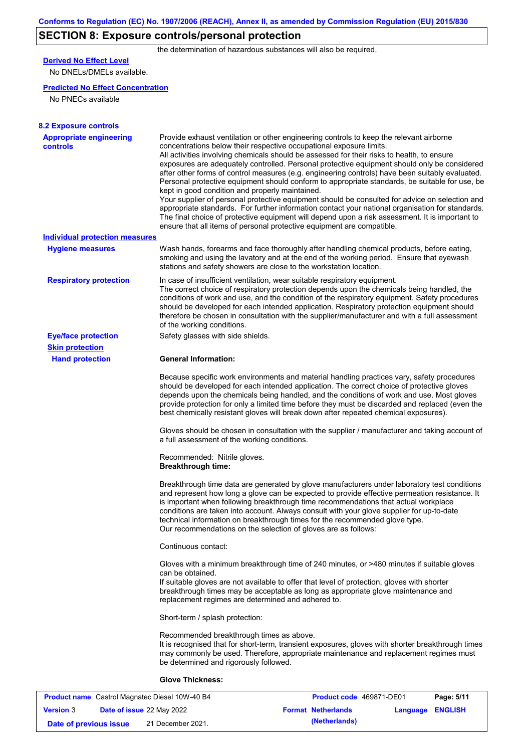# **SECTION 8: Exposure controls/personal protection**

the determination of hazardous substances will also be required.

# **Derived No Effect Level**

No DNELs/DMELs available.

### **Predicted No Effect Concentration**

No PNECs available

| <b>8.2 Exposure controls</b>                      |                                                                                                                                                                                                                                                                                                                                                                                                                                                                                                                                                                                                                                                                                                                                                                                                                                                                                                                                                                                                         |
|---------------------------------------------------|---------------------------------------------------------------------------------------------------------------------------------------------------------------------------------------------------------------------------------------------------------------------------------------------------------------------------------------------------------------------------------------------------------------------------------------------------------------------------------------------------------------------------------------------------------------------------------------------------------------------------------------------------------------------------------------------------------------------------------------------------------------------------------------------------------------------------------------------------------------------------------------------------------------------------------------------------------------------------------------------------------|
| <b>Appropriate engineering</b><br><b>controls</b> | Provide exhaust ventilation or other engineering controls to keep the relevant airborne<br>concentrations below their respective occupational exposure limits.<br>All activities involving chemicals should be assessed for their risks to health, to ensure<br>exposures are adequately controlled. Personal protective equipment should only be considered<br>after other forms of control measures (e.g. engineering controls) have been suitably evaluated.<br>Personal protective equipment should conform to appropriate standards, be suitable for use, be<br>kept in good condition and properly maintained.<br>Your supplier of personal protective equipment should be consulted for advice on selection and<br>appropriate standards. For further information contact your national organisation for standards.<br>The final choice of protective equipment will depend upon a risk assessment. It is important to<br>ensure that all items of personal protective equipment are compatible. |
| <b>Individual protection measures</b>             |                                                                                                                                                                                                                                                                                                                                                                                                                                                                                                                                                                                                                                                                                                                                                                                                                                                                                                                                                                                                         |
| <b>Hygiene measures</b>                           | Wash hands, forearms and face thoroughly after handling chemical products, before eating,<br>smoking and using the lavatory and at the end of the working period. Ensure that eyewash<br>stations and safety showers are close to the workstation location.                                                                                                                                                                                                                                                                                                                                                                                                                                                                                                                                                                                                                                                                                                                                             |
| <b>Respiratory protection</b>                     | In case of insufficient ventilation, wear suitable respiratory equipment.<br>The correct choice of respiratory protection depends upon the chemicals being handled, the<br>conditions of work and use, and the condition of the respiratory equipment. Safety procedures<br>should be developed for each intended application. Respiratory protection equipment should<br>therefore be chosen in consultation with the supplier/manufacturer and with a full assessment<br>of the working conditions.                                                                                                                                                                                                                                                                                                                                                                                                                                                                                                   |
| <b>Eye/face protection</b>                        | Safety glasses with side shields.                                                                                                                                                                                                                                                                                                                                                                                                                                                                                                                                                                                                                                                                                                                                                                                                                                                                                                                                                                       |
| <b>Skin protection</b>                            |                                                                                                                                                                                                                                                                                                                                                                                                                                                                                                                                                                                                                                                                                                                                                                                                                                                                                                                                                                                                         |
| <b>Hand protection</b>                            | <b>General Information:</b>                                                                                                                                                                                                                                                                                                                                                                                                                                                                                                                                                                                                                                                                                                                                                                                                                                                                                                                                                                             |
|                                                   | Because specific work environments and material handling practices vary, safety procedures<br>should be developed for each intended application. The correct choice of protective gloves<br>depends upon the chemicals being handled, and the conditions of work and use. Most gloves<br>provide protection for only a limited time before they must be discarded and replaced (even the<br>best chemically resistant gloves will break down after repeated chemical exposures).                                                                                                                                                                                                                                                                                                                                                                                                                                                                                                                        |
|                                                   | Gloves should be chosen in consultation with the supplier / manufacturer and taking account of<br>a full assessment of the working conditions.                                                                                                                                                                                                                                                                                                                                                                                                                                                                                                                                                                                                                                                                                                                                                                                                                                                          |
|                                                   | Recommended: Nitrile gloves.<br><b>Breakthrough time:</b>                                                                                                                                                                                                                                                                                                                                                                                                                                                                                                                                                                                                                                                                                                                                                                                                                                                                                                                                               |
|                                                   | Breakthrough time data are generated by glove manufacturers under laboratory test conditions<br>and represent how long a glove can be expected to provide effective permeation resistance. It<br>is important when following breakthrough time recommendations that actual workplace<br>conditions are taken into account. Always consult with your glove supplier for up-to-date<br>technical information on breakthrough times for the recommended glove type.<br>Our recommendations on the selection of gloves are as follows:                                                                                                                                                                                                                                                                                                                                                                                                                                                                      |
|                                                   | Continuous contact:                                                                                                                                                                                                                                                                                                                                                                                                                                                                                                                                                                                                                                                                                                                                                                                                                                                                                                                                                                                     |
|                                                   | Gloves with a minimum breakthrough time of 240 minutes, or >480 minutes if suitable gloves<br>can be obtained.<br>If suitable gloves are not available to offer that level of protection, gloves with shorter<br>breakthrough times may be acceptable as long as appropriate glove maintenance and<br>replacement regimes are determined and adhered to.                                                                                                                                                                                                                                                                                                                                                                                                                                                                                                                                                                                                                                                |
|                                                   | Short-term / splash protection:                                                                                                                                                                                                                                                                                                                                                                                                                                                                                                                                                                                                                                                                                                                                                                                                                                                                                                                                                                         |
|                                                   | Recommended breakthrough times as above.<br>It is recognised that for short-term, transient exposures, gloves with shorter breakthrough times<br>may commonly be used. Therefore, appropriate maintenance and replacement regimes must<br>be determined and rigorously followed.                                                                                                                                                                                                                                                                                                                                                                                                                                                                                                                                                                                                                                                                                                                        |
|                                                   | <b>Glove Thickness:</b>                                                                                                                                                                                                                                                                                                                                                                                                                                                                                                                                                                                                                                                                                                                                                                                                                                                                                                                                                                                 |
|                                                   | Costrol Mognatos Diosal 10W 40 R4<br><b>Droduct code</b> 460971 DE01<br>Dao: E/44                                                                                                                                                                                                                                                                                                                                                                                                                                                                                                                                                                                                                                                                                                                                                                                                                                                                                                                       |

| <b>Product name</b> Castrol Magnatec Diesel 10W-40 B4 |  | <b>Product code</b> 469871-DE01  |                           | Page: 5/11              |  |
|-------------------------------------------------------|--|----------------------------------|---------------------------|-------------------------|--|
| <b>Version 3</b>                                      |  | <b>Date of issue 22 May 2022</b> | <b>Format Netherlands</b> | <b>Language ENGLISH</b> |  |
| Date of previous issue                                |  | 21 December 2021.                | (Netherlands)             |                         |  |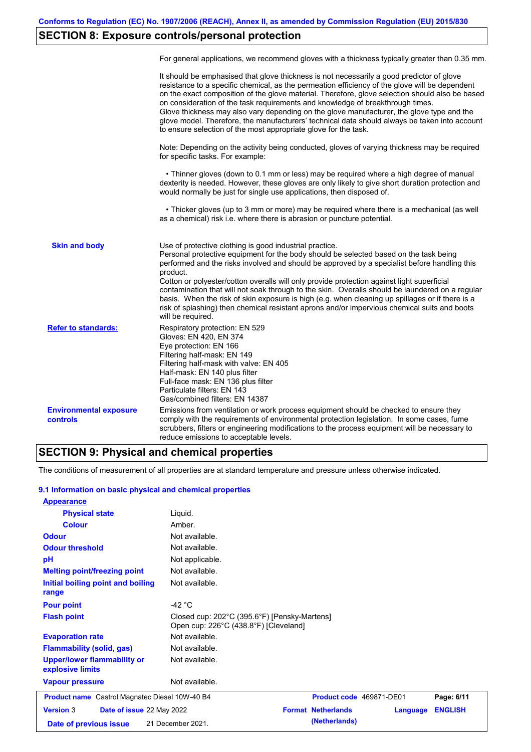# **SECTION 8: Exposure controls/personal protection**

|                                                  | For general applications, we recommend gloves with a thickness typically greater than 0.35 mm.                                                                                                                                                                                                                                                                                                                                                                                                                                                                                                                                                                                        |
|--------------------------------------------------|---------------------------------------------------------------------------------------------------------------------------------------------------------------------------------------------------------------------------------------------------------------------------------------------------------------------------------------------------------------------------------------------------------------------------------------------------------------------------------------------------------------------------------------------------------------------------------------------------------------------------------------------------------------------------------------|
|                                                  | It should be emphasised that glove thickness is not necessarily a good predictor of glove<br>resistance to a specific chemical, as the permeation efficiency of the glove will be dependent<br>on the exact composition of the glove material. Therefore, glove selection should also be based<br>on consideration of the task requirements and knowledge of breakthrough times.<br>Glove thickness may also vary depending on the glove manufacturer, the glove type and the<br>glove model. Therefore, the manufacturers' technical data should always be taken into account<br>to ensure selection of the most appropriate glove for the task.                                     |
|                                                  | Note: Depending on the activity being conducted, gloves of varying thickness may be required<br>for specific tasks. For example:                                                                                                                                                                                                                                                                                                                                                                                                                                                                                                                                                      |
|                                                  | • Thinner gloves (down to 0.1 mm or less) may be required where a high degree of manual<br>dexterity is needed. However, these gloves are only likely to give short duration protection and<br>would normally be just for single use applications, then disposed of.                                                                                                                                                                                                                                                                                                                                                                                                                  |
|                                                  | • Thicker gloves (up to 3 mm or more) may be required where there is a mechanical (as well<br>as a chemical) risk i.e. where there is abrasion or puncture potential.                                                                                                                                                                                                                                                                                                                                                                                                                                                                                                                 |
| <b>Skin and body</b>                             | Use of protective clothing is good industrial practice.<br>Personal protective equipment for the body should be selected based on the task being<br>performed and the risks involved and should be approved by a specialist before handling this<br>product.<br>Cotton or polyester/cotton overalls will only provide protection against light superficial<br>contamination that will not soak through to the skin. Overalls should be laundered on a regular<br>basis. When the risk of skin exposure is high (e.g. when cleaning up spillages or if there is a<br>risk of splashing) then chemical resistant aprons and/or impervious chemical suits and boots<br>will be required. |
| <b>Refer to standards:</b>                       | Respiratory protection: EN 529<br>Gloves: EN 420, EN 374<br>Eye protection: EN 166<br>Filtering half-mask: EN 149<br>Filtering half-mask with valve: EN 405<br>Half-mask: EN 140 plus filter<br>Full-face mask: EN 136 plus filter<br>Particulate filters: EN 143<br>Gas/combined filters: EN 14387                                                                                                                                                                                                                                                                                                                                                                                   |
| <b>Environmental exposure</b><br><b>controls</b> | Emissions from ventilation or work process equipment should be checked to ensure they<br>comply with the requirements of environmental protection legislation. In some cases, fume<br>scrubbers, filters or engineering modifications to the process equipment will be necessary to<br>reduce emissions to acceptable levels.                                                                                                                                                                                                                                                                                                                                                         |

# **SECTION 9: Physical and chemical properties**

The conditions of measurement of all properties are at standard temperature and pressure unless otherwise indicated.

### **9.1 Information on basic physical and chemical properties**

| <b>Appearance</b>                                      |                                                                                       |                           |                 |                |
|--------------------------------------------------------|---------------------------------------------------------------------------------------|---------------------------|-----------------|----------------|
| <b>Physical state</b>                                  | Liquid.                                                                               |                           |                 |                |
| <b>Colour</b>                                          | Amber.                                                                                |                           |                 |                |
| <b>Odour</b>                                           | Not available.                                                                        |                           |                 |                |
| <b>Odour threshold</b>                                 | Not available.                                                                        |                           |                 |                |
| pH                                                     | Not applicable.                                                                       |                           |                 |                |
| <b>Melting point/freezing point</b>                    | Not available.                                                                        |                           |                 |                |
| <b>Initial boiling point and boiling</b><br>range      | Not available.                                                                        |                           |                 |                |
| <b>Pour point</b>                                      | -42 $^{\circ}$ C                                                                      |                           |                 |                |
| <b>Flash point</b>                                     | Closed cup: 202°C (395.6°F) [Pensky-Martens]<br>Open cup: 226°C (438.8°F) [Cleveland] |                           |                 |                |
| <b>Evaporation rate</b>                                | Not available.                                                                        |                           |                 |                |
| <b>Flammability (solid, gas)</b>                       | Not available.                                                                        |                           |                 |                |
| <b>Upper/lower flammability or</b><br>explosive limits | Not available.                                                                        |                           |                 |                |
| <b>Vapour pressure</b>                                 | Not available.                                                                        |                           |                 |                |
| <b>Product name</b> Castrol Magnatec Diesel 10W-40 B4  |                                                                                       | Product code 469871-DE01  |                 | Page: 6/11     |
| <b>Version 3</b><br>Date of issue 22 May 2022          |                                                                                       | <b>Format Netherlands</b> | <b>Language</b> | <b>ENGLISH</b> |
| Date of previous issue                                 | 21 December 2021.                                                                     | (Netherlands)             |                 |                |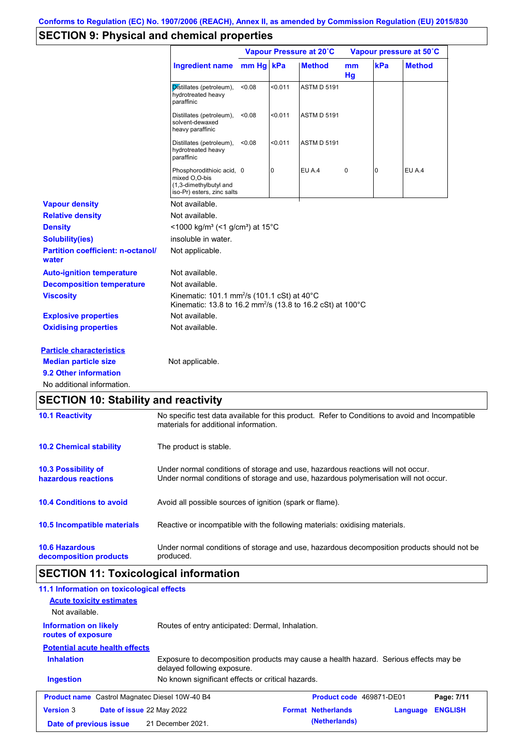# **SECTION 9: Physical and chemical properties**

|                                                   |                                                                                                                                   |        |         | Vapour Pressure at 20°C |             |                | Vapour pressure at 50°C |
|---------------------------------------------------|-----------------------------------------------------------------------------------------------------------------------------------|--------|---------|-------------------------|-------------|----------------|-------------------------|
|                                                   | Ingredient name mm Hg   kPa                                                                                                       |        |         | <b>Method</b>           | mm<br>Hg    | kPa            | <b>Method</b>           |
|                                                   | Distillates (petroleum),<br>hydrotreated heavy<br>paraffinic                                                                      | < 0.08 | < 0.011 | <b>ASTM D 5191</b>      |             |                |                         |
|                                                   | Distillates (petroleum),<br>solvent-dewaxed<br>heavy paraffinic                                                                   | < 0.08 | < 0.011 | <b>ASTM D 5191</b>      |             |                |                         |
|                                                   | Distillates (petroleum),<br>hydrotreated heavy<br>paraffinic                                                                      | < 0.08 | < 0.011 | <b>ASTM D 5191</b>      |             |                |                         |
|                                                   | Phosphorodithioic acid, 0<br>mixed O,O-bis<br>(1,3-dimethylbutyl and<br>iso-Pr) esters, zinc salts                                |        | 0       | <b>EU A.4</b>           | $\mathbf 0$ | $\overline{0}$ | EU A.4                  |
| <b>Vapour density</b>                             | Not available.                                                                                                                    |        |         |                         |             |                |                         |
| <b>Relative density</b>                           | Not available.                                                                                                                    |        |         |                         |             |                |                         |
| <b>Density</b>                                    | <1000 kg/m <sup>3</sup> (<1 g/cm <sup>3</sup> ) at 15 <sup>°</sup> C                                                              |        |         |                         |             |                |                         |
| <b>Solubility(ies)</b>                            | insoluble in water.                                                                                                               |        |         |                         |             |                |                         |
| <b>Partition coefficient: n-octanol/</b><br>water | Not applicable.                                                                                                                   |        |         |                         |             |                |                         |
| <b>Auto-ignition temperature</b>                  | Not available.                                                                                                                    |        |         |                         |             |                |                         |
| <b>Decomposition temperature</b>                  | Not available.                                                                                                                    |        |         |                         |             |                |                         |
| <b>Viscosity</b>                                  | Kinematic: 101.1 mm <sup>2</sup> /s (101.1 cSt) at 40°C<br>Kinematic: 13.8 to 16.2 mm <sup>2</sup> /s (13.8 to 16.2 cSt) at 100°C |        |         |                         |             |                |                         |
| <b>Explosive properties</b>                       | Not available.                                                                                                                    |        |         |                         |             |                |                         |
| <b>Oxidising properties</b>                       | Not available.                                                                                                                    |        |         |                         |             |                |                         |
| <b>Particle characteristics</b>                   |                                                                                                                                   |        |         |                         |             |                |                         |
| <b>Median particle size</b>                       | Not applicable.                                                                                                                   |        |         |                         |             |                |                         |
| 9.2 Other information                             |                                                                                                                                   |        |         |                         |             |                |                         |
| No additional information.                        |                                                                                                                                   |        |         |                         |             |                |                         |
| <b>SECTION 10: Stability and reactivity</b>       |                                                                                                                                   |        |         |                         |             |                |                         |

| <b>10.1 Reactivity</b>                            | No specific test data available for this product. Refer to Conditions to avoid and Incompatible<br>materials for additional information.                                |
|---------------------------------------------------|-------------------------------------------------------------------------------------------------------------------------------------------------------------------------|
| <b>10.2 Chemical stability</b>                    | The product is stable.                                                                                                                                                  |
| <b>10.3 Possibility of</b><br>hazardous reactions | Under normal conditions of storage and use, hazardous reactions will not occur.<br>Under normal conditions of storage and use, hazardous polymerisation will not occur. |
| <b>10.4 Conditions to avoid</b>                   | Avoid all possible sources of ignition (spark or flame).                                                                                                                |
| 10.5 Incompatible materials                       | Reactive or incompatible with the following materials: oxidising materials.                                                                                             |
| <b>10.6 Hazardous</b><br>decomposition products   | Under normal conditions of storage and use, hazardous decomposition products should not be<br>produced.                                                                 |

# **SECTION 11: Toxicological information**

| 11.1 Information on toxicological effects             |                                                                                                                     |                                       |                |
|-------------------------------------------------------|---------------------------------------------------------------------------------------------------------------------|---------------------------------------|----------------|
| <b>Acute toxicity estimates</b>                       |                                                                                                                     |                                       |                |
| Not available.                                        |                                                                                                                     |                                       |                |
| <b>Information on likely</b><br>routes of exposure    | Routes of entry anticipated: Dermal, Inhalation.                                                                    |                                       |                |
| <b>Potential acute health effects</b>                 |                                                                                                                     |                                       |                |
| <b>Inhalation</b>                                     | Exposure to decomposition products may cause a health hazard. Serious effects may be<br>delayed following exposure. |                                       |                |
| <b>Ingestion</b>                                      | No known significant effects or critical hazards.                                                                   |                                       |                |
| <b>Product name</b> Castrol Magnatec Diesel 10W-40 B4 |                                                                                                                     | Product code 469871-DE01              | Page: 7/11     |
| <b>Version 3</b><br>Date of issue 22 May 2022         |                                                                                                                     | <b>Format Netherlands</b><br>Language | <b>ENGLISH</b> |
| Date of previous issue                                | 21 December 2021.                                                                                                   | (Netherlands)                         |                |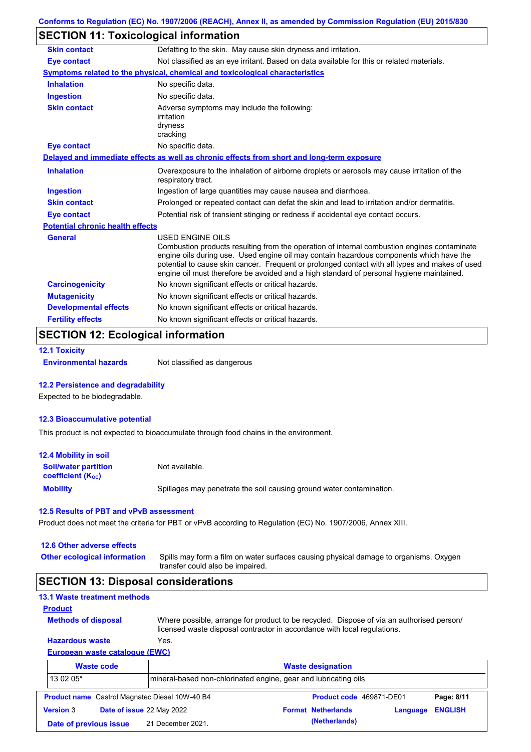# **SECTION 11: Toxicological information**

| <b>Skin contact</b>                     | Defatting to the skin. May cause skin dryness and irritation.                                                                                                                                                                                                                                                                                                                                            |
|-----------------------------------------|----------------------------------------------------------------------------------------------------------------------------------------------------------------------------------------------------------------------------------------------------------------------------------------------------------------------------------------------------------------------------------------------------------|
| <b>Eye contact</b>                      | Not classified as an eye irritant. Based on data available for this or related materials.                                                                                                                                                                                                                                                                                                                |
|                                         | Symptoms related to the physical, chemical and toxicological characteristics                                                                                                                                                                                                                                                                                                                             |
| <b>Inhalation</b>                       | No specific data.                                                                                                                                                                                                                                                                                                                                                                                        |
| <b>Ingestion</b>                        | No specific data.                                                                                                                                                                                                                                                                                                                                                                                        |
| <b>Skin contact</b>                     | Adverse symptoms may include the following:<br>irritation<br>dryness<br>cracking                                                                                                                                                                                                                                                                                                                         |
| <b>Eye contact</b>                      | No specific data.                                                                                                                                                                                                                                                                                                                                                                                        |
|                                         | Delayed and immediate effects as well as chronic effects from short and long-term exposure                                                                                                                                                                                                                                                                                                               |
| <b>Inhalation</b>                       | Overexposure to the inhalation of airborne droplets or aerosols may cause irritation of the<br>respiratory tract.                                                                                                                                                                                                                                                                                        |
| <b>Ingestion</b>                        | Ingestion of large quantities may cause nausea and diarrhoea.                                                                                                                                                                                                                                                                                                                                            |
| <b>Skin contact</b>                     | Prolonged or repeated contact can defat the skin and lead to irritation and/or dermatitis.                                                                                                                                                                                                                                                                                                               |
| <b>Eye contact</b>                      | Potential risk of transient stinging or redness if accidental eye contact occurs.                                                                                                                                                                                                                                                                                                                        |
| <b>Potential chronic health effects</b> |                                                                                                                                                                                                                                                                                                                                                                                                          |
| <b>General</b>                          | USED ENGINE OILS<br>Combustion products resulting from the operation of internal combustion engines contaminate<br>engine oils during use. Used engine oil may contain hazardous components which have the<br>potential to cause skin cancer. Frequent or prolonged contact with all types and makes of used<br>engine oil must therefore be avoided and a high standard of personal hygiene maintained. |
| <b>Carcinogenicity</b>                  | No known significant effects or critical hazards.                                                                                                                                                                                                                                                                                                                                                        |
| <b>Mutagenicity</b>                     | No known significant effects or critical hazards.                                                                                                                                                                                                                                                                                                                                                        |
|                                         |                                                                                                                                                                                                                                                                                                                                                                                                          |
| <b>Developmental effects</b>            | No known significant effects or critical hazards.                                                                                                                                                                                                                                                                                                                                                        |

# **SECTION 12: Ecological information**

```
12.1 Toxicity
```
**Environmental hazards** Not classified as dangerous

#### **12.2 Persistence and degradability**

Expected to be biodegradable.

#### **12.3 Bioaccumulative potential**

This product is not expected to bioaccumulate through food chains in the environment.

| <b>12.4 Mobility in soil</b>                            |                                                                      |
|---------------------------------------------------------|----------------------------------------------------------------------|
| <b>Soil/water partition</b><br><b>coefficient (Koc)</b> | Not available.                                                       |
| <b>Mobility</b>                                         | Spillages may penetrate the soil causing ground water contamination. |

#### **12.5 Results of PBT and vPvB assessment**

Product does not meet the criteria for PBT or vPvB according to Regulation (EC) No. 1907/2006, Annex XIII.

#### **12.6 Other adverse effects**

**Other ecological information**

Spills may form a film on water surfaces causing physical damage to organisms. Oxygen transfer could also be impaired.

### **SECTION 13: Disposal considerations**

# **13.1 Waste treatment methods**

**Methods of disposal**

**Product**

**Hazardous waste** Yes. Where possible, arrange for product to be recycled. Dispose of via an authorised person/ licensed waste disposal contractor in accordance with local regulations.

### **European waste catalogue (EWC)**

|                        | <b>Waste code</b>         | <b>Waste designation</b>                                         |  |                           |          |                |
|------------------------|---------------------------|------------------------------------------------------------------|--|---------------------------|----------|----------------|
| 13 02 05*              |                           | Imineral-based non-chlorinated engine, gear and lubricating oils |  |                           |          |                |
|                        |                           | <b>Product name</b> Castrol Magnatec Diesel 10W-40 B4            |  | Product code 469871-DE01  |          | Page: 8/11     |
| <b>Version 3</b>       | Date of issue 22 May 2022 |                                                                  |  | <b>Format Netherlands</b> | Language | <b>ENGLISH</b> |
| Date of previous issue |                           | 21 December 2021.                                                |  | (Netherlands)             |          |                |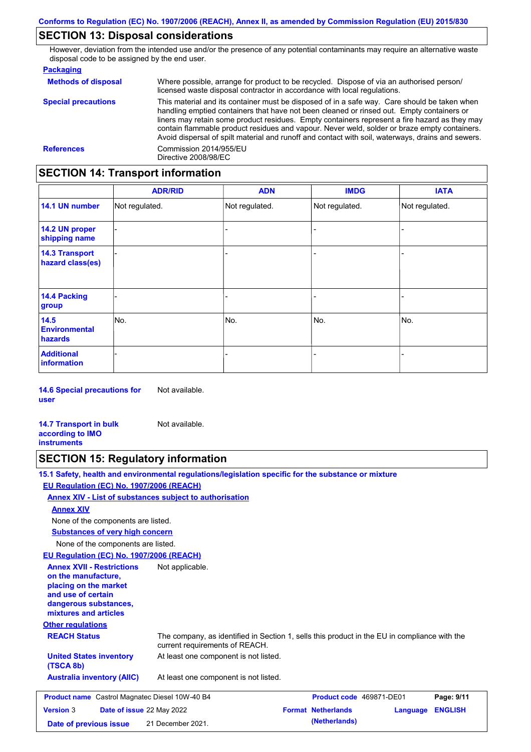# **SECTION 13: Disposal considerations**

However, deviation from the intended use and/or the presence of any potential contaminants may require an alternative waste disposal code to be assigned by the end user.

#### **Packaging**

| <b>Methods of disposal</b> | Where possible, arrange for product to be recycled. Dispose of via an authorised person/<br>licensed waste disposal contractor in accordance with local regulations.                                                                                                                                                                                                                                                                                                                            |  |  |  |
|----------------------------|-------------------------------------------------------------------------------------------------------------------------------------------------------------------------------------------------------------------------------------------------------------------------------------------------------------------------------------------------------------------------------------------------------------------------------------------------------------------------------------------------|--|--|--|
| <b>Special precautions</b> | This material and its container must be disposed of in a safe way. Care should be taken when<br>handling emptied containers that have not been cleaned or rinsed out. Empty containers or<br>liners may retain some product residues. Empty containers represent a fire hazard as they may<br>contain flammable product residues and vapour. Never weld, solder or braze empty containers.<br>Avoid dispersal of spilt material and runoff and contact with soil, waterways, drains and sewers. |  |  |  |
| <b>References</b>          | Commission 2014/955/EU<br>Directive 2008/98/EC                                                                                                                                                                                                                                                                                                                                                                                                                                                  |  |  |  |

# **SECTION 14: Transport information**

|                                           | <b>ADR/RID</b> | <b>ADN</b>     | <b>IMDG</b>    | <b>IATA</b>    |  |
|-------------------------------------------|----------------|----------------|----------------|----------------|--|
| 14.1 UN number                            | Not regulated. | Not regulated. | Not regulated. | Not regulated. |  |
| 14.2 UN proper<br>shipping name           |                |                | -              |                |  |
| <b>14.3 Transport</b><br>hazard class(es) |                |                | $\blacksquare$ |                |  |
| 14.4 Packing<br>group                     |                |                | -              |                |  |
| 14.5<br><b>Environmental</b><br>hazards   | No.            | No.            | No.            | No.            |  |
| <b>Additional</b><br><b>information</b>   |                |                |                |                |  |

**14.6 Special precautions for user** Not available.

**14.7 Transport in bulk according to IMO instruments** Not available.

# **SECTION 15: Regulatory information**

**15.1 Safety, health and environmental regulations/legislation specific for the substance or mixture**

### **EU Regulation (EC) No. 1907/2006 (REACH)**

**Annex XIV - List of substances subject to authorisation**

#### **Annex XIV**

None of the components are listed.

**Substances of very high concern**

None of the components are listed.

#### **EU Regulation (EC) No. 1907/2006 (REACH)**

**Other regulations REACH Status** The company, as identified in Section 1, sells this product in the EU in compliance with the current requirements of REACH. At least one component is not listed. **United States inventory** At least one component is not listed. **(TSCA 8b) Australia inventory (AIIC) Annex XVII - Restrictions on the manufacture, placing on the market and use of certain dangerous substances, mixtures and articles** Not applicable. **Product name** Castrol Magnatec Diesel 10W-40 B4 **Product Code 469871-DE01 Page: 9/11 Version** 3 **Date of issue** 22 May 2022 **Format Netherlands Language ENGLISH Date of previous issue (Netherlands)** 21 December 2021.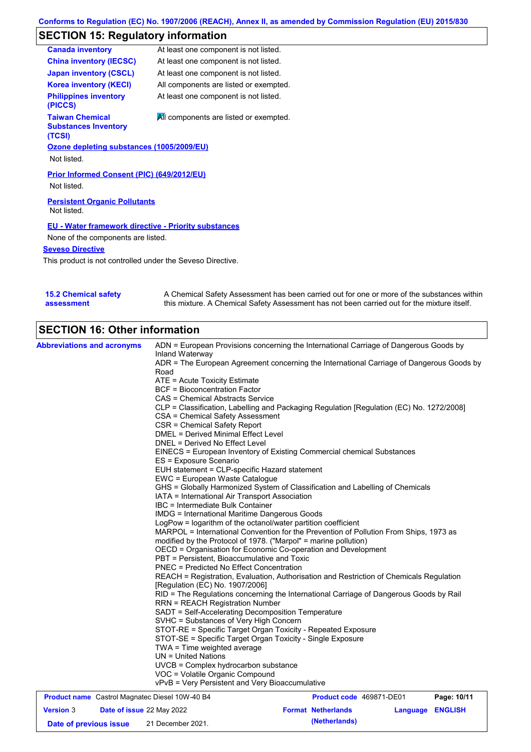# **SECTION 15: Regulatory information**

| <b>Canada inventory</b>                                         | At least one component is not listed.  |
|-----------------------------------------------------------------|----------------------------------------|
| <b>China inventory (IECSC)</b>                                  | At least one component is not listed.  |
| <b>Japan inventory (CSCL)</b>                                   | At least one component is not listed.  |
| <b>Korea inventory (KECI)</b>                                   | All components are listed or exempted. |
| <b>Philippines inventory</b><br>(PICCS)                         | At least one component is not listed.  |
| <b>Taiwan Chemical</b><br><b>Substances Inventory</b><br>(TCSI) | All components are listed or exempted. |
| Ozone depleting substances (1005/2009/EU)                       |                                        |
| Not listed.                                                     |                                        |
| Prior Informed Consent (PIC) (649/2012/EU)<br>Not listed.       |                                        |
| <b>Persistent Organic Pollutants</b><br>Not listed.             |                                        |
| <b>EU - Water framework directive - Priority substances</b>     |                                        |
| None of the components are listed.                              |                                        |
| <b>Seveso Directive</b>                                         |                                        |
| This product is not controlled under the Seveso Directive.      |                                        |

| <b>15.2 Chemical safety</b> | A Chemical Safety Assessment has been carried out for one or more of the substances within  |
|-----------------------------|---------------------------------------------------------------------------------------------|
| assessment                  | this mixture. A Chemical Safety Assessment has not been carried out for the mixture itself. |

# **SECTION 16: Other information**

|                                                                                                             | ADN = European Provisions concerning the International Carriage of Dangerous Goods by                                                                                              |  |  |  |  |  |  |
|-------------------------------------------------------------------------------------------------------------|------------------------------------------------------------------------------------------------------------------------------------------------------------------------------------|--|--|--|--|--|--|
| Inland Waterway<br>ADR = The European Agreement concerning the International Carriage of Dangerous Goods by |                                                                                                                                                                                    |  |  |  |  |  |  |
| Road                                                                                                        |                                                                                                                                                                                    |  |  |  |  |  |  |
| ATE = Acute Toxicity Estimate                                                                               |                                                                                                                                                                                    |  |  |  |  |  |  |
| <b>BCF</b> = Bioconcentration Factor                                                                        |                                                                                                                                                                                    |  |  |  |  |  |  |
| CAS = Chemical Abstracts Service                                                                            |                                                                                                                                                                                    |  |  |  |  |  |  |
| CLP = Classification, Labelling and Packaging Regulation [Regulation (EC) No. 1272/2008]                    |                                                                                                                                                                                    |  |  |  |  |  |  |
| CSA = Chemical Safety Assessment                                                                            |                                                                                                                                                                                    |  |  |  |  |  |  |
| CSR = Chemical Safety Report                                                                                |                                                                                                                                                                                    |  |  |  |  |  |  |
| <b>DMEL = Derived Minimal Effect Level</b>                                                                  |                                                                                                                                                                                    |  |  |  |  |  |  |
| DNEL = Derived No Effect Level                                                                              |                                                                                                                                                                                    |  |  |  |  |  |  |
| EINECS = European Inventory of Existing Commercial chemical Substances<br>ES = Exposure Scenario            |                                                                                                                                                                                    |  |  |  |  |  |  |
| EUH statement = CLP-specific Hazard statement                                                               |                                                                                                                                                                                    |  |  |  |  |  |  |
| EWC = European Waste Catalogue                                                                              |                                                                                                                                                                                    |  |  |  |  |  |  |
| GHS = Globally Harmonized System of Classification and Labelling of Chemicals                               |                                                                                                                                                                                    |  |  |  |  |  |  |
| IATA = International Air Transport Association                                                              |                                                                                                                                                                                    |  |  |  |  |  |  |
| IBC = Intermediate Bulk Container                                                                           |                                                                                                                                                                                    |  |  |  |  |  |  |
| IMDG = International Maritime Dangerous Goods                                                               |                                                                                                                                                                                    |  |  |  |  |  |  |
| LogPow = logarithm of the octanol/water partition coefficient                                               |                                                                                                                                                                                    |  |  |  |  |  |  |
|                                                                                                             | MARPOL = International Convention for the Prevention of Pollution From Ships, 1973 as<br>modified by the Protocol of 1978. ("Marpol" = marine pollution)                           |  |  |  |  |  |  |
|                                                                                                             |                                                                                                                                                                                    |  |  |  |  |  |  |
|                                                                                                             | OECD = Organisation for Economic Co-operation and Development                                                                                                                      |  |  |  |  |  |  |
|                                                                                                             | PBT = Persistent, Bioaccumulative and Toxic<br>PNEC = Predicted No Effect Concentration<br>REACH = Registration, Evaluation, Authorisation and Restriction of Chemicals Regulation |  |  |  |  |  |  |
|                                                                                                             |                                                                                                                                                                                    |  |  |  |  |  |  |
| [Regulation (EC) No. 1907/2006]                                                                             |                                                                                                                                                                                    |  |  |  |  |  |  |
|                                                                                                             | RID = The Regulations concerning the International Carriage of Dangerous Goods by Rail                                                                                             |  |  |  |  |  |  |
| <b>RRN = REACH Registration Number</b>                                                                      |                                                                                                                                                                                    |  |  |  |  |  |  |
| SADT = Self-Accelerating Decomposition Temperature                                                          |                                                                                                                                                                                    |  |  |  |  |  |  |
| SVHC = Substances of Very High Concern                                                                      |                                                                                                                                                                                    |  |  |  |  |  |  |
| STOT-RE = Specific Target Organ Toxicity - Repeated Exposure                                                |                                                                                                                                                                                    |  |  |  |  |  |  |
| STOT-SE = Specific Target Organ Toxicity - Single Exposure                                                  |                                                                                                                                                                                    |  |  |  |  |  |  |
| TWA = Time weighted average                                                                                 |                                                                                                                                                                                    |  |  |  |  |  |  |
|                                                                                                             |                                                                                                                                                                                    |  |  |  |  |  |  |
| $UN = United Nations$                                                                                       |                                                                                                                                                                                    |  |  |  |  |  |  |
| UVCB = Complex hydrocarbon substance                                                                        |                                                                                                                                                                                    |  |  |  |  |  |  |
| VOC = Volatile Organic Compound<br>vPvB = Very Persistent and Very Bioaccumulative                          |                                                                                                                                                                                    |  |  |  |  |  |  |
| <b>Product name</b> Castrol Magnatec Diesel 10W-40 B4<br>Product code 469871-DE01                           | Page: 10/11                                                                                                                                                                        |  |  |  |  |  |  |

**Date of previous issue (Netherlands)** 21 December 2021.